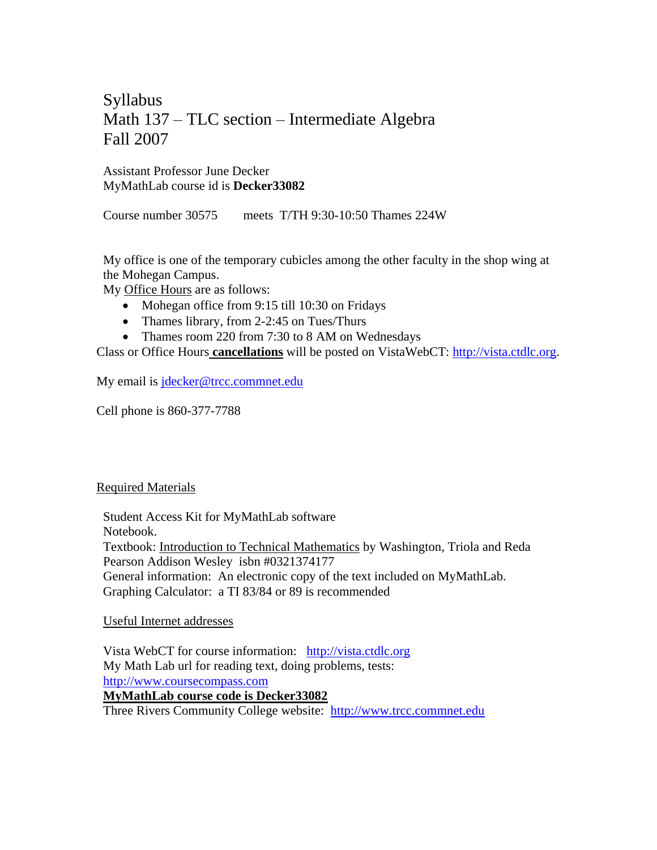# Syllabus Math 137 – TLC section – Intermediate Algebra Fall 2007

# Assistant Professor June Decker MyMathLab course id is **Decker33082**

Course number 30575 meets T/TH 9:30-10:50 Thames 224W

My office is one of the temporary cubicles among the other faculty in the shop wing at the Mohegan Campus.

My Office Hours are as follows:

- Mohegan office from 9:15 till 10:30 on Fridays
- Thames library, from 2-2:45 on Tues/Thurs
- Thames room 220 from 7:30 to 8 AM on Wednesdays

Class or Office Hours **cancellations** will be posted on VistaWebCT: [http://vista.ctdlc.org.](http://vista.ctdlc.org/)

My email is *jdecker@trcc.commnet.edu* 

Cell phone is 860-377-7788

## Required Materials

Student Access Kit for MyMathLab software Notebook. Textbook: Introduction to Technical Mathematics by Washington, Triola and Reda Pearson Addison Wesley isbn #0321374177 General information: An electronic copy of the text included on MyMathLab. Graphing Calculator: a TI 83/84 or 89 is recommended

## Useful Internet addresses

Vista WebCT for course information: [http://vista.ctdlc.org](http://vista.ctdlc.org/) My Math Lab url for reading text, doing problems, tests: [http://www.coursecompass.com](http://www.coursecompass.com/)  **MyMathLab course code is Decker33082** Three Rivers Community College website: [http://www.trcc.commnet.edu](http://www.trcc.commnet.edu/)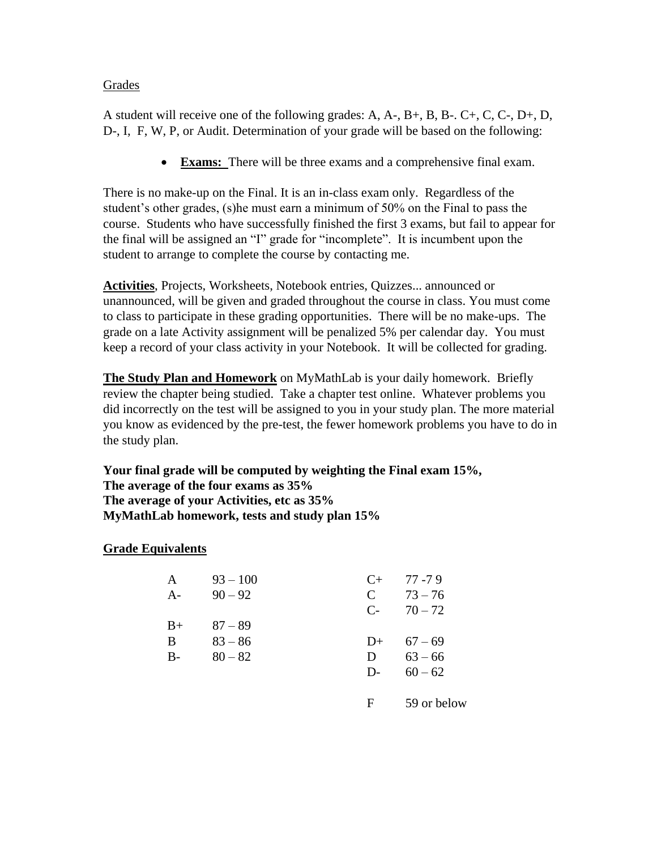## Grades

A student will receive one of the following grades: A, A-, B+, B, B-. C+, C, C-, D+, D, D-, I, F, W, P, or Audit. Determination of your grade will be based on the following:

**Exams:** There will be three exams and a comprehensive final exam.

There is no make-up on the Final. It is an in-class exam only. Regardless of the student's other grades, (s)he must earn a minimum of 50% on the Final to pass the course. Students who have successfully finished the first 3 exams, but fail to appear for the final will be assigned an "I" grade for "incomplete". It is incumbent upon the student to arrange to complete the course by contacting me.

**Activities**, Projects, Worksheets, Notebook entries, Quizzes... announced or unannounced, will be given and graded throughout the course in class. You must come to class to participate in these grading opportunities. There will be no make-ups. The grade on a late Activity assignment will be penalized 5% per calendar day. You must keep a record of your class activity in your Notebook. It will be collected for grading.

**The Study Plan and Homework** on MyMathLab is your daily homework. Briefly review the chapter being studied. Take a chapter test online. Whatever problems you did incorrectly on the test will be assigned to you in your study plan. The more material you know as evidenced by the pre-test, the fewer homework problems you have to do in the study plan.

**Your final grade will be computed by weighting the Final exam 15%, The average of the four exams as 35% The average of your Activities, etc as 35% MyMathLab homework, tests and study plan 15%**

# **Grade Equivalents**

| $\mathbf{A}$ | $93 - 100$ |              | $C_{+}$ 77.79 |
|--------------|------------|--------------|---------------|
| $A -$        | $90 - 92$  | $\mathbf{C}$ | $73 - 76$     |
|              |            |              | $C-70-72$     |
| $B+$         | $87 - 89$  |              |               |
| B            | $83 - 86$  |              | $D+ 67-69$    |
| $B -$        | $80 - 82$  | D            | $63 - 66$     |
|              |            | $D$ -        | $60 - 62$     |
|              |            |              |               |

F 59 or below